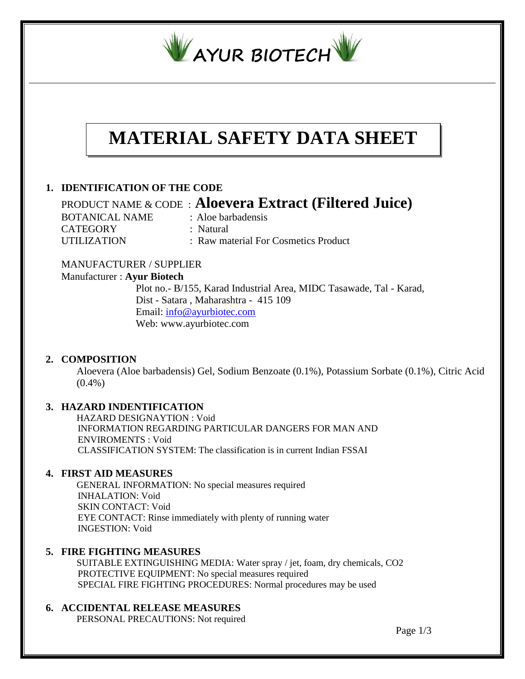

# **MATERIAL SAFETY DATA SHEET**

# **1. IDENTIFICATION OF THE CODE**

 PRODUCT NAME & CODE : **Aloevera Extract (Filtered Juice)** BOTANICAL NAME : Aloe barbadensis

CATEGORY : Natural

UTILIZATION : Raw material For Cosmetics Product

# MANUFACTURER / SUPPLIER

## Manufacturer : **Ayur Biotech**

 Plot no.- B/155, Karad Industrial Area, MIDC Tasawade, Tal - Karad, Dist - Satara , Maharashtra - 415 109 Email: [info@ayurbiotec.com](mailto:info@ayurbiotec.com) Web: www.ayurbiotec.com

# **2. COMPOSITION**

Aloevera (Aloe barbadensis) Gel, Sodium Benzoate (0.1%), Potassium Sorbate (0.1%), Citric Acid  $(0.4\%)$ 

# **3. HAZARD INDENTIFICATION**

 HAZARD DESIGNAYTION : Void INFORMATION REGARDING PARTICULAR DANGERS FOR MAN AND ENVIROMENTS : Void CLASSIFICATION SYSTEM: The classification is in current Indian FSSAI

## **4. FIRST AID MEASURES**

 GENERAL INFORMATION: No special measures required INHALATION: Void SKIN CONTACT: Void EYE CONTACT: Rinse immediately with plenty of running water INGESTION: Void

# **5. FIRE FIGHTING MEASURES**

 SUITABLE EXTINGUISHING MEDIA: Water spray / jet, foam, dry chemicals, CO2 PROTECTIVE EQUIPMENT: No special measures required SPECIAL FIRE FIGHTING PROCEDURES: Normal procedures may be used

## **6. ACCIDENTAL RELEASE MEASURES**

PERSONAL PRECAUTIONS: Not required

Page 1/3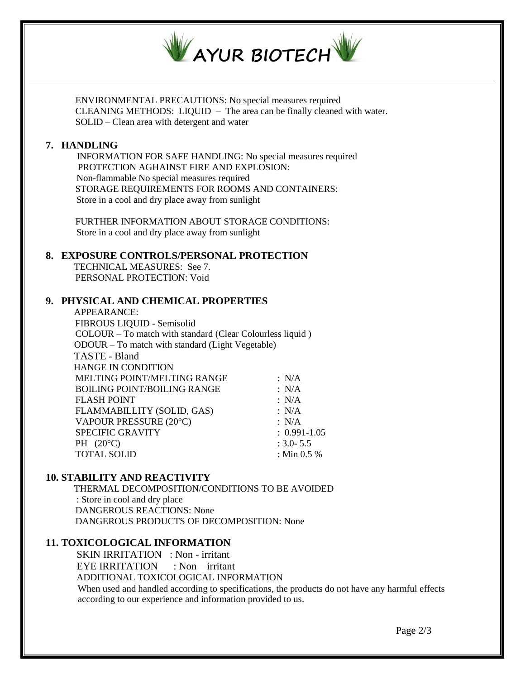

 ENVIRONMENTAL PRECAUTIONS: No special measures required CLEANING METHODS: LIQUID – The area can be finally cleaned with water. SOLID – Clean area with detergent and water

## **7. HANDLING**

 INFORMATION FOR SAFE HANDLING: No special measures required PROTECTION AGHAINST FIRE AND EXPLOSION: Non-flammable No special measures required STORAGE REQUIREMENTS FOR ROOMS AND CONTAINERS: Store in a cool and dry place away from sunlight

 FURTHER INFORMATION ABOUT STORAGE CONDITIONS: Store in a cool and dry place away from sunlight

#### **8. EXPOSURE CONTROLS/PERSONAL PROTECTION**

 TECHNICAL MEASURES: See 7. PERSONAL PROTECTION: Void

#### **9. PHYSICAL AND CHEMICAL PROPERTIES**

APPEARANCE: FIBROUS LIQUID - Semisolid COLOUR – To match with standard (Clear Colourless liquid ) ODOUR – To match with standard (Light Vegetable) TASTE - Bland HANGE IN CONDITION MELTING POINT/MELTING RANGE : N/A BOILING POINT/BOILING RANGE : N/A FLASH POINT : N/A FLAMMABILLITY (SOLID, GAS) : N/A VAPOUR PRESSURE (20°C) : N/A SPECIFIC GRAVITY : 0.991-1.05 PH (20°C) : 3.0- 5.5<br>
TOTAL SOLID : Min 0.5 % TOTAL SOLID

## **10. STABILITY AND REACTIVITY**

 THERMAL DECOMPOSITION/CONDITIONS TO BE AVOIDED : Store in cool and dry place DANGEROUS REACTIONS: None DANGEROUS PRODUCTS OF DECOMPOSITION: None

# **11. TOXICOLOGICAL INFORMATION**

 SKIN IRRITATION : Non - irritant EYE IRRITATION : Non – irritant ADDITIONAL TOXICOLOGICAL INFORMATION When used and handled according to specifications, the products do not have any harmful effects according to our experience and information provided to us.